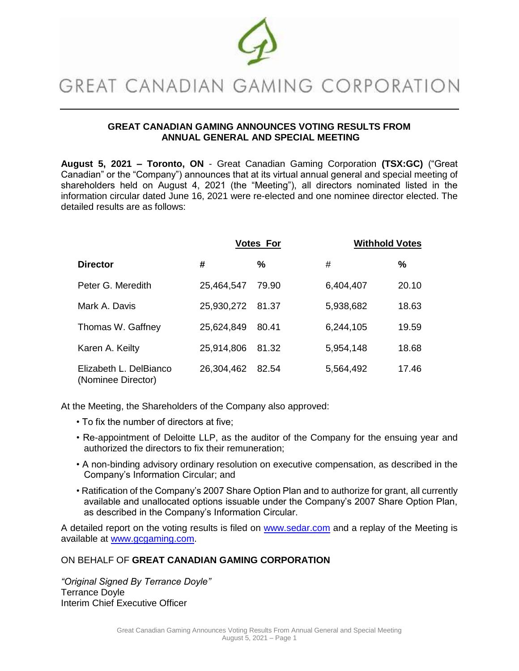

# GREAT CANADIAN GAMING CORPORATION

## **GREAT CANADIAN GAMING ANNOUNCES VOTING RESULTS FROM ANNUAL GENERAL AND SPECIAL MEETING**

**August 5, 2021 – Toronto, ON** - Great Canadian Gaming Corporation **(TSX:GC)** ("Great Canadian" or the "Company") announces that at its virtual annual general and special meeting of shareholders held on August 4, 2021 (the "Meeting"), all directors nominated listed in the information circular dated June 16, 2021 were re-elected and one nominee director elected. The detailed results are as follows:

|                                              | <b>Votes For</b> |       | <b>Withhold Votes</b> |       |
|----------------------------------------------|------------------|-------|-----------------------|-------|
| <b>Director</b>                              | #                | %     | #                     | %     |
| Peter G. Meredith                            | 25,464,547       | 79.90 | 6,404,407             | 20.10 |
| Mark A. Davis                                | 25,930,272       | 81.37 | 5,938,682             | 18.63 |
| Thomas W. Gaffney                            | 25,624,849       | 80.41 | 6,244,105             | 19.59 |
| Karen A. Keilty                              | 25,914,806       | 81.32 | 5,954,148             | 18.68 |
| Elizabeth L. DelBianco<br>(Nominee Director) | 26,304,462       | 82.54 | 5,564,492             | 17.46 |

At the Meeting, the Shareholders of the Company also approved:

- To fix the number of directors at five;
- Re-appointment of Deloitte LLP, as the auditor of the Company for the ensuing year and authorized the directors to fix their remuneration;
- A non-binding advisory ordinary resolution on executive compensation, as described in the Company's Information Circular; and
- Ratification of the Company's 2007 Share Option Plan and to authorize for grant, all currently available and unallocated options issuable under the Company's 2007 Share Option Plan, as described in the Company's Information Circular.

A detailed report on the voting results is filed on [www.sedar.com](file:///C:/Users/truskowski/AppData/Local/Microsoft/Windows/INetCache/Content.Outlook/2OH6C7UP/www.sedar.com) and a replay of the Meeting is available at [www.gcgaming.com.](http://www.gcgaming.com/)

## ON BEHALF OF **GREAT CANADIAN GAMING CORPORATION**

*"Original Signed By Terrance Doyle"*  Terrance Doyle Interim Chief Executive Officer